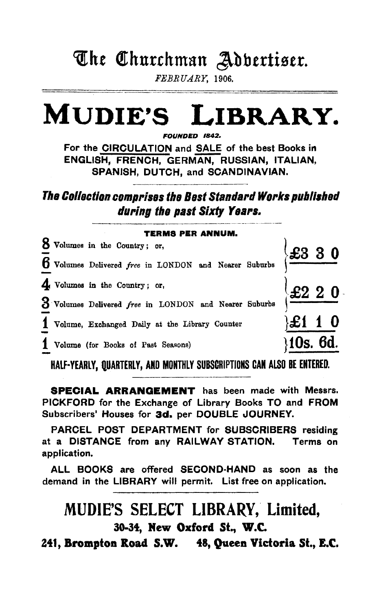# The Churchman Adbertiser.

FEBRUARY, 1906.

## **MUDIE'S** LIBRARY.

FOUNDED 1842.

For the CIRCULATION and SALE of the best Books in ENGLISH, FRENCH, GERMAN, RUSSIAN, ITALIAN, SPANISH, DUTCH, and SCANDINAVIAN.

The Collection comprises the Best Standard Works published during the past Sixty Years.

| <b>TERMS PER ANNUM.</b> |                                                                                             |          |  |
|-------------------------|---------------------------------------------------------------------------------------------|----------|--|
|                         | 8 Volumes in the Country; or,                                                               |          |  |
|                         | $\frac{6}{4}$ Volumes Delivered free in LONDON and Nearer Suburbs $\left\{\pm 3330\right\}$ |          |  |
|                         |                                                                                             |          |  |
|                         | $\frac{3}{1}$ Volumes Delivered <i>free</i> in LONDON and Nearer Suburbs $\frac{22220}{1}$  |          |  |
|                         | 1 Volume, Exchanged Daily at the Library Counter                                            | £1 1 0   |  |
|                         | 1 Volume (for Books of Past Seasons)                                                        | 10s. 6d. |  |

HALF-YEARLY, QUARTERLY, AND MONTHLY SUBSCRIPTIONS CAN ALSO BE ENTERED.

**SPECIAL ARRANGEMENT** has been made with Messrs. PICKFORD for the Exchange of Library Books TO and FROM Subscribers' Houses for 3d. per DOUBLE JOURNEY.

PARCEL POST DEPARTMENT for SUBSCRIBERS residing at a DISTANCE from any RAILWAY STATION. Terms on application.

ALL BOOKS are offered SECOND-HAND as soon as the demand in the LIBRARY will permit. List free on application.

# MUDIE'S SELECT LIBRARY, Limited. 30-34, New Oxford St., W.C.

241, Brompton Road S.W. 48, Queen Victoria St., E.C.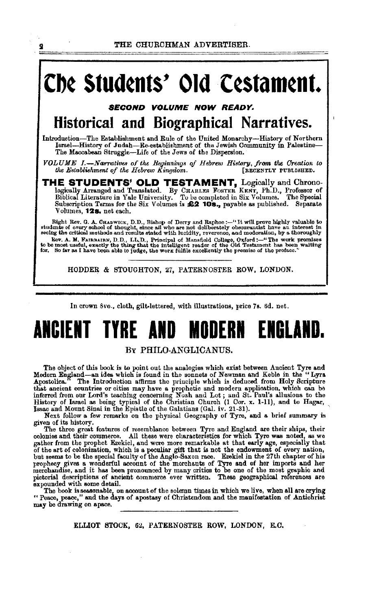THE CHURCHMAN ADVERTISER.

 $\overline{\mathbf{2}}$ 

# Che Students' Old Cestament.

**SECOND VOLUME NOW READY.** Historical and Biographical Narratives.

Introduction-The Establishment and Rule of the United Monarchy-History of Northern<br>Israel-History of Judah-Re-establishment of the Jewish Community in Palestine-<br>The Maccabean Struggle--Life of the Jews of the Dispersion.

VOLUME I.—Narratives of the Beginnings of Hebrew History, from the Creation to the Establishment of the Hebrew Kingdom. [RECENTLY PUBLISHED.

THE STUDENTS' OLD TESTAMENT, Logically and Chrono-logically Arranged and Translated. By CHARLES FOSTER KENT, Ph.D., Professor of Biblical Literature in Yale University. To be completed in Six Volumes. The Special Subscription Terms for the Six Volumes is £2 10s., payable as published. Separate Volumes, 12s. net each.

Right Rev. G. A. CHADWICK, D.D., Bishop of Derry and Raphoe:--"It will prove highly valuable to students of every school of thought, since all who are not deliberately obscurantist have an interest in secing the critical m Rev. A. M. FAIRBAIRN, D.D., LL.D., Principal of Mansfield College, Oxford:--"The work promises to be most useful, exactly the thing that the intelligent reader of the Old Testament has been waiting for. So far as I have be

HODDER & STOUGHTON, 27, PATERNOSTER ROW, LONDON.

In crown 8vo., cloth, gilt-lettered, with illustrations, price 7s. 6d. net.

### ANCIENT TYRE AND MODERN FNRI

### BY PHILO-ANGLICANUS.

The object of this book is to point out the analogies which exist between Ancient Tyre and Modern England-an idea which is found in the sonnets of Newman and Keble in the "Lyra-<br>Apostolica." The Introduction affirms the principle which is deduced from Holy Scripture Alle and Multiple with the set of the same have principle which is deduced from any scripture<br>that ancient countries or cities may have a prophetic and modern application, which can be<br>inferred from our Lord's teaching con

given of its history.<br>The three great features of resemblance between Tyre and England are their ships, their<br>The three great features of resemblance between Tyre and England are their ships, their<br>All three waves characte colonies and their commerce. All these were claracteristics for which Tyre was noted, as we gather from the prophet Ezokicl, and were more remarkable at that early age, especially that gation rion and propiet Ezekici, and were interactions at the endowment of every nation, of the art of colonization, which is a peculiar gift that is not the endowment of every nation, but seems to be the special faculty o expounded with some detail.

The book is sessonable, on account of the solemn times in which we live, when all are crying "Peace, peace," and the days of apostasy of Christendom and the manifestation of Antichrist may be drawing on apace.

ELLIOT STOCK, 62, PATERNOSTER ROW, LONDON, E.C.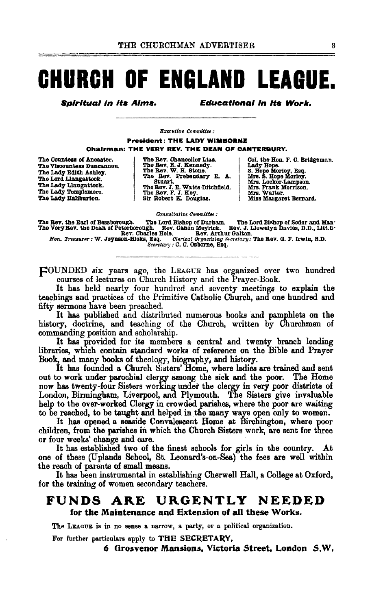# **CHURCH OF ENGLAND LEAGUE.**

**Spiritual in its Aims.** 

**Educational in Its Work.** 

Executive Committee:

**President: THE LADY WIMBORNE Chairman: THE VERY REV. THE DEAN OF CANTERBURY.** 

The Countess of Ancaster. The Viscountess Duncannon. The Lady Edith Ashley. The Lord Liangattock. The Lady Llaugattock.<br>The Lady Templemore. The Lady Haliburton.

The Rev. Chancellor Lias.<br>The Rev. E. J. Kennedy.<br>The Rev. W. H. Stone. The Eev. W. H. Stone.<br>The Eev. Prebendary E. A.<br>Stuart.<br>The Eev. J. E. Watts-Ditchfield.<br>The Eev. F. J. Key.<br>Sir Robert K. Douglas.

Col. the Hon. F. O. Bridgeman.<br>Lady Hope.<br>S. Hope Morley, Esq.<br>Mrs. S. Hope Morley.<br>Mrs. Locker-Lampson. Mrs. Frank Morrison.<br>Mrs. Walter. Miss Margaret Bernard.

Consultative Committee :

The Rev. the Earl of Bessborough. The Lord Bishop of Durham. The Lord Bishop of Sodor and Man.<br>The Very Rev. the Dean of Peterborough. Rev. Clanon Meyrick. Rev. J. Liewelyn Davies, D.D., Litt.D.<br>Rev. Charles Hole. Rev. Art

FOUNDED six years ago, the LEAGUE has organized over two hundred courses of lectures on Church History and the Prayer-Book.

It has held nearly four hundred and seventy meetings to explain the teachings and practices of the Primitive Catholic Church, and one hundred and fifty sermons have been preached.

It has published and distributed numerous books and pamphlets on the history, doctrine, and teaching of the Church, written by Churchmen of commanding position and scholarship.

It has provided for its members a central and twenty branch lending libraries, which contain standard works of reference on the Bible and Prayer Book, and many books of theology, biography, and history.

It has founded a Church Sisters' Home, where ladies are trained and sent out to work under parochial clergy among the sick and the poor. The Home now has twenty-four Sisters working under the clergy in very poor districts of London, Birmingham, Liverpool, and Plymouth. The Sisters give invaluab help to the over-worked Clergy in crowded parishes, where the poor are waiting to be reached, to be taught and helped in the many ways open only to women.

It has opened a seaside Convalescent Home at Birchington, where poor children, from the parishes in which the Church Sisters work, are sent for three or four weeks' change and care.

It has established two of the finest schools for girls in the country. At one of these (Uplands School, St. Leonard's-on-Sea) the fees are well within the reach of parents of small means.

It has been instrumental in establishing Cherwell Hall, a College at Oxford, for the training of women secondary teachers.

#### **FUNDS** ARE URGENTLY NEEDED for the Maintenance and Extension of all these Works.

The LEAGUE is in no sense a narrow, a party, or a political organization.

For further particulars apply to THE SECRETARY,

6 Grosvenor Mansions, Victoria Street, London S.W.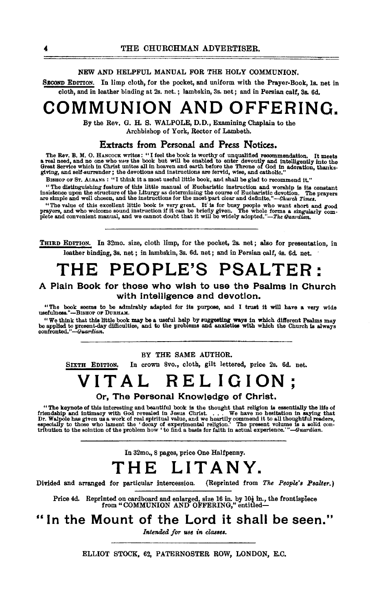### NEW AND HELPFUL MANUAL FOR THE HOLY COMMUNION.

SECOND EDITION. In limp cloth, for the pocket, and uniform with the Prayer-Book, 1s. net in cloth, and in !esther binding at 2s. net. ; lambskin, 3s. net; and in Persian calf, 3s. 6d.

# **COMMUNION AND OFFERING.**

By the Rev. G. H. S. WALPOLE, D. D., Examining Chaplain to the Archbishop of York, Rector of Lambeth.

### Extracts from Personal and Press Notices.

The Rev. B. M. O. HANCOCK writes: "I feel the book is worthy of unqualified recommendation. It meets<br>a real need, and no one who uses the book but will be enabled to enter devoutly and intelligently into the<br>Great Service

BISHOP OF ST. ALBANS : "I think it a most useful little book, and shall be glad to recommend it."<br>"The distinguishing feature of this little manual of Eucharistic instruction and worship is its constant The usual metricular of the Liturgy as determining the course of Bucharistic devotion. The prayers<br>are simple and well chosen, and the instructions for the most part clear and definite."-Church Times.

"The value of this excellent little book is very great. It is for busy people who want short and good prayers, and welcome sound instruction if it can be briefly given. The whole forms a singularly comparent plete and con

THIRD EDITION. In 32mo. size, cloth limp, for the pocket, 2s. net; also for presentation, in leather binding, 3s. net ; in lambskin, 3s. 6d. net; and in Persian calf, 4s. 6d. net.

# **THE PEOPLE'S PSALTER:**

### A Plain Book for those who wish to use the Psalms In Church with intelligence and devotion.

"The book seems to be admirably adapted for its purpose, and I trust it will have a very wide usefulness."-BISHOP OF DURHAM.

"We think that this little book may be a useful help by suggesting ways in which different Psalms may<br>be applied to present-day difficulties, and to the problems and anxieties with which the Church is always<br>confronted."—

BY THE SAME AUTHOR.

SIXTH EDITION, In crown Svo., cloth, gilt lettered, price 2s. 6d. net.

# **VITAL RELIGION;**

Or, The Personal Knowledge of Christ.

"The keynote of this interesting and beautiful book is the thought that religion is essentially the life of friendship and intimacy with God revealed in Jesus Christ. . . . We have no hesitation in saying that  $Dr$ . We hav

In 32mo., 8 pages, price One Halfpenny.

# **THE LITANY.**

Divided and arranged for particular intercession. (Reprinted from *The People's Psalter.)* 

Price 4d. Reprinted on cardboard and enlarged, size 16 in. by 10 $\frac{1}{2}$  in., the frontispiece from "COMMUNION AND OFFERING," entitled-

# "In **the Mount of the Lord it shall be seen."**

Intended for use in classes.

ELLIOT STOCK, 62, PATERNOSTER ROW, LONDON, E.C.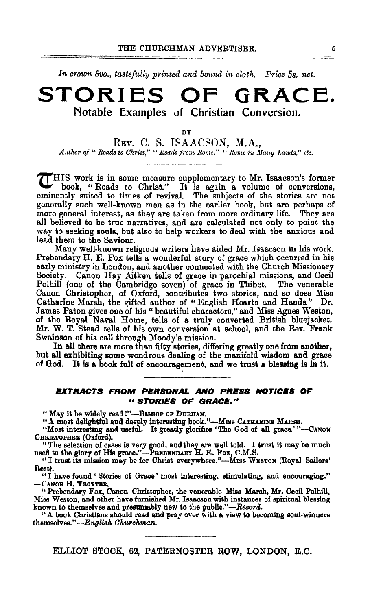In crown 8vo., tastefully printed and bound in cloth. Price 5s. net.

## **STORIES OF GRACE.**  Notable Examples of Christian Conversion.

BY

REv. C. S. ISAACSON, M.A., Author of " Roads to Christ," " Roads from Rome," " Rome in Many Lands," etc.

.,..HIS work is in some measure supplementary to Mr. Isaacson's former book, "Roads to Christ." It is again a volume of conversions, eminently suited to times of revival. The subjects of the stories are not generally such well-known men as in the earlier book, but are perhaps of more general interest, as they are taken from more ordinary life. They are all believed to be true narratives, and are calculated not only to point the way to seeking souls, but also to help workers to deal with the anxious and lead them to the Saviour.

Many well-known religious writers have aided Mr. Isaacson in his work. Prebendary H. E. Fox tells a wonderful story of grace which occurred in his early ministry in London, and another connected with the Church Missionary Society. Canon Hay Aitken tells of grace in parochial missions, and Cecil Polhill (one of the Cambridge seven) of grace in Thibet. The venerable Canon Christopher, of Oxford, contributes two stories, and so does Miss Catharine Marsh, the gifted author of " English Hearts and Hands." Dr. James Paton gives one of his " beautiful characters," and Miss Agnes Weston,. of the Royal Naval Home, tells of a truly converted British bluejacket. Mr. W. T. Stead tells of his own conversion at school, and the Rev. Frank Swainson of his call through Moody's mission.

In all there are more than fifty stories, differing greatly one from another, but all exhibiting some wondrous dealing of the manifold wisdom and grace of God. It is a book full of encouragement, and we trust a blessing is in it.

#### **EXTRACTS FROM PERSONAL AND PRESS NOTICES OF** <sup>11</sup>**STORIES OF GRACE."**

" May it be widely read !"-BISHOP OF DURHAM.

"A most delightful and deeply interesting book."-MISS CATHARINE MARSH.

"Most interesting and useful. It greatly glorifies 'The God of all grace.'"--CANON CHRISTOPHER (Oxford).

"The selection of cases is very good, and they are well told. I trust it may be much used to the glory of His grace."-PREBBNDARY H. E. Fox, C.M.S.

"I trust its mission may be for Christ everywhere."-Mrss WESTON (Royal Sailors'

Rest).<br>"I have found 'Stories of Grace' most interesting, stimulating, and encouraging."<br>- CANON H. TROTTER.

"Prebendary Fox, Canon Christopher, the venerable Miss Marsh, Mr. Cecil Polhill, Miss Weston, and other have furnished Mr. Isaacson with instances of spiritual blessing known to themselves and presumably new to the public."-Record.

"A book Christians should read and pray over with a. view to becoming soul-winners themselves."-English Churchman.

ELLIOT STOCK, 69, PATERNOSTER BOW, LONDON, E.O.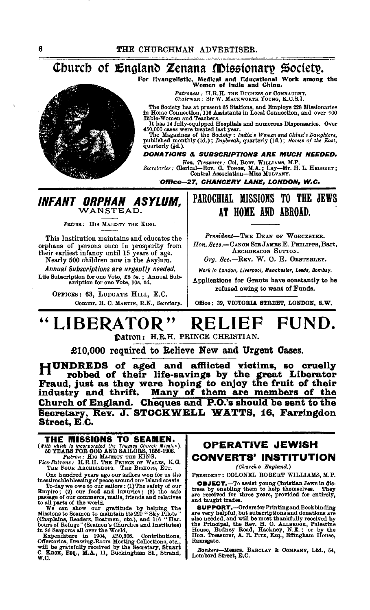## Church of England Zenana Missionary Society.

For Evangelistic, Medical and Educational Work among the Women of India and China.



Patroness : H.R.H. THE DUCHESS OF CONNAUGHT.<br>Chairman : Sir W. MACKWORTH YOUNG, K.C.S.I.

The Society has at present 65 Stations, and Employs 228 Missionaries<br>in Home Connection, 116 Assistants in Local Connection, and over 900<br>Bible-Women and Teachers.

Divide in the later detection of the same transfer of the sixth and numerous Dispensaries. Over 450,000 cases were treated last year.<br>The Magazines of the Society: *India's Women and China's Daughters*, published monthly (

quarterly (4d.).

**DONATIONS & SUBSCRIPTIONS ARE MUCH NEEDED.** 

Hon. Treasurer: Col. ROBT. WILLIAMS, M.P.<br>Secretaries: Clerical—Rev. G. TONGR, M.A.; Lay—Mr. H. L. HRBBERT;<br>Central Association—Miss MULVANY.

Office-27, CHANCERY LANE, LONDON, W.C.

## INFANT ORPHAN ASYLUM. WANSTEAD.

Patron: HIS MAJESTY THE KING.

This Institution maintains and educates the orphans of persons once in prosperity from their earliest infancy until 15 years of age. Nearly 500 children now in the Asylum.

Annual Subscriptions are urgently needed. Life Subscription for one Vote, £5 5s.; Annual Subscription for one Vote, 10s. 6d.

OFFICES: 63, LUDGATE HILL, E.C. Commr. H. C. MARTIN, R.N., Secretary.

## PAROCHIAL MISSIONS TO THE JEWS AT HOME AND ABROAD.

President-THE DEAN OF WORCESTER. Hon. Secs.-CANON SIR JAMES E. PHILIPPS, Bart. ARCHDEACON SUTTON.

Org. Sec.-REV. W. O. E. OESTEBLEY.

Work in London, Liverpool, Manchester, Leeds, Bombay.

Applications for Grants have constantly to be refused owing to want of Funds.

Office: 39, VICTORIA STREET, LONDON, S.W.

#### LIBERATOR" FUND. **KELIEF**

Datron: H.R.H. PRINCE CHRISTIAN.

£10,000 required to Relieve New and Urgent Cases.

HUNDREDS of aged and afflicted victims, so cruelly robbed of their life-savings by the great Liberator Fraud, just as they were hoping to enjoy the fruit of their<br>industry and thrift. Many of them are members of the Church of England. Cheques and P.O.'s should be sent to the Secretary, Rev. J. STOCKWELL WATTS, 16, Farringdon Street, E.C.

THE MISSIONS TO SEAMEN. Vith which is incorporated the Thames Church Mission).<br>
50 YEARS FOR GOD AND SAILORS, 1856-1906.<br>
Factrons: HIS MAJESTY THE KING.<br>
Fice-Patrons: H.R.H. THE PRINCE OF WALES, K.G.<br>
THE FOUR ARCHBISHOPS. THE BISHOPS, BTC.

THE FOUR ARCHBISHOFS. THE BISHOFS, F.C. THE BISHOFS, E.C. One hundred years ago our sailors won for us the stating of peace around our Island coasts. To Today we owe to our sailors : (1) The safety of our passage of our co

## **OPERATIVE JEWISH** CONVERTS' INSTITUTION

(Church o England.)

PRESIDENT : COLONEL ROBERT WILLIAMS, M.P.

**OBJECT.**—To assist young Christian Jews in distress by enabling them to help themselves. They are received for three years, provided for entirely, and taught trades.

and taugue transmission of the series are over the superport of the Property and the series and domations are also needed, and will be most thankfully received by the Principal, the Rev. H. O. ALLEBOOK, Plackine House, Hou Ramsgate.

Bankers-Messrs. BARCLAY & COMPANY, Ltd., 54, Lombard Street, E.C.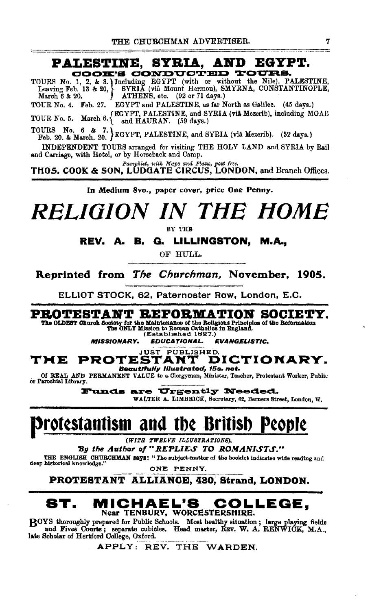## PALESTINE, SYBIA, AND EGYPT. COOK'S CONDUCTED

TOURS No. 1, 2, & 3. Including EGYPT (with or without the Nile), PALESTINE, Leaving Feb. 13 & 20, SYRIA (via Mount Hermon), SMYRNA, CONSTANTINOPLE, March 6 & 20. (92 or 71 days.)<br>TOUR No. 4. Feb. 27. EGYPT and PALESTINE, as far North as Galilee. (45 days.)

TOUR No.4. Feb. 27. EGYPT and PALESTINE, as far North as Galilee, (45 days.) TOUR No. 5. March 6. *EGYPT*, PALESTINE, and SYRIA (viâ Mezerib), including MOAB **o.** *u. a. and HAURAN.* (59 days.)

TOURS No. 6 & 7.  $\left\{\n \begin{array}{ll}\n 2. & \text{EGYPT}, \text{PALESTINE}, \text{and SYRIA (via Mezerib)}. \\
 62 & \text{Mays.}\n \end{array}\n \right\}$ 

INDEPENDENT TOURS arranged for visiting THE HOLY LAND and SYRIA by Rail and Carriage, with Hotel, or by Horseback and Camp.

*Pamphlet, with M ap8 and* P!am, *po•t free.*  THOS. COOK & SON, LUDOATE CIRCUS, LONDON, and Branch Offices.

In Medium 8vo., paper cover, price One Penny.

# *RELIOION IN TlfE liOME*

BY THB

REV. A. B. Q. LILLINGSTON, M.A.,

OF HULL.

Reprinted from *The Churchman,* November, 1905.

ELLIOT STOCK, 62, Paternoster Row, London, E.C.

PROTESTANT REFORMATION SOCIETY.

The OLDEST Ohuroh Society for the Maintenance of the Religious Principles of the Reformation<br>The ONLY Mission to Regnan Oathollos in England.<br>(Established 1827.)

MISSIONARY. EDUCATIONAL. EVANGEUSTIC.

#### **JUST PUBLISHED.**<br>**STANT DICTIONARY.** THE PROTESTANT Beautifully lilustrated, 15s. net.

Of REAL AND PERMANENT VALUE to a Clergyman, Minister, Teacher, Protestant Worker, Public or Parochial Library.

Funds are Urgently Needed. WALTER A. LIMBRICK, Secretary, 62, Berners Street, London, W.

# protestantism and the British People

*(WITH TWELYB ILLU8TRATIONI!),* 

By the Author of "REPLIES TO ROMANISTS."

THE ENGLISH CHURCHMAN Says: "The subject-matter of the booklet indicates wide reading and deep historical knowledge.

ONE PENNY.

PROTESTANT ALLIANCE, 480, Strand, LONDON.

## ST. MICHAEL'S COLLEGE, Near TENBURY, WORCESTERSHIRE.

BOYS thoroughly prepared for Public Schools. Most healthy situation ; large playing fields and Fives Courts ; separate cubicles. Head master, REV. W. A. RENWICK, M.A., late Scholar of Hertford College, Oxford.

APPLY: REV. THE WARDEN.